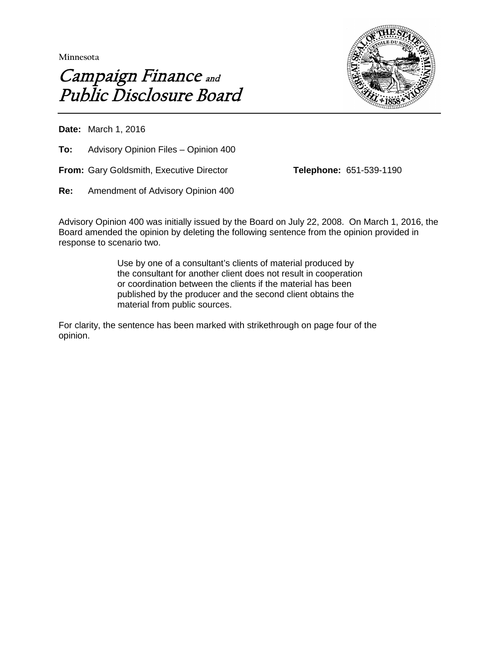**Minnesota** 





**Date:** March 1, 2016

**To:** Advisory Opinion Files – Opinion 400

**From:** Gary Goldsmith, Executive Director **Telephone:** 651-539-1190

**Re:** Amendment of Advisory Opinion 400

Advisory Opinion 400 was initially issued by the Board on July 22, 2008. On March 1, 2016, the Board amended the opinion by deleting the following sentence from the opinion provided in response to scenario two.

> Use by one of a consultant's clients of material produced by the consultant for another client does not result in cooperation or coordination between the clients if the material has been published by the producer and the second client obtains the material from public sources.

For clarity, the sentence has been marked with strikethrough on page four of the opinion.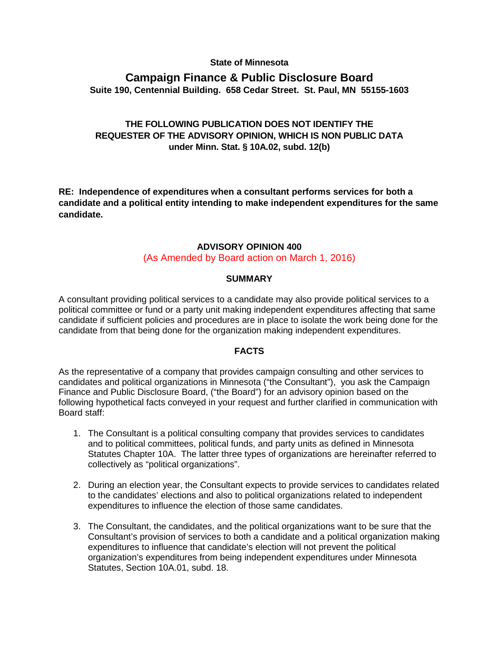#### **State of Minnesota**

## **Campaign Finance & Public Disclosure Board Suite 190, Centennial Building. 658 Cedar Street. St. Paul, MN 55155-1603**

# **THE FOLLOWING PUBLICATION DOES NOT IDENTIFY THE REQUESTER OF THE ADVISORY OPINION, WHICH IS NON PUBLIC DATA under Minn. Stat. § 10A.02, subd. 12(b)**

**RE: Independence of expenditures when a consultant performs services for both a candidate and a political entity intending to make independent expenditures for the same candidate.**

# **ADVISORY OPINION 400**

## (As Amended by Board action on March 1, 2016)

#### **SUMMARY**

A consultant providing political services to a candidate may also provide political services to a political committee or fund or a party unit making independent expenditures affecting that same candidate if sufficient policies and procedures are in place to isolate the work being done for the candidate from that being done for the organization making independent expenditures.

### **FACTS**

As the representative of a company that provides campaign consulting and other services to candidates and political organizations in Minnesota ("the Consultant"), you ask the Campaign Finance and Public Disclosure Board, ("the Board") for an advisory opinion based on the following hypothetical facts conveyed in your request and further clarified in communication with Board staff:

- 1. The Consultant is a political consulting company that provides services to candidates and to political committees, political funds, and party units as defined in Minnesota Statutes Chapter 10A. The latter three types of organizations are hereinafter referred to collectively as "political organizations".
- 2. During an election year, the Consultant expects to provide services to candidates related to the candidates' elections and also to political organizations related to independent expenditures to influence the election of those same candidates.
- 3. The Consultant, the candidates, and the political organizations want to be sure that the Consultant's provision of services to both a candidate and a political organization making expenditures to influence that candidate's election will not prevent the political organization's expenditures from being independent expenditures under Minnesota Statutes, Section 10A.01, subd. 18.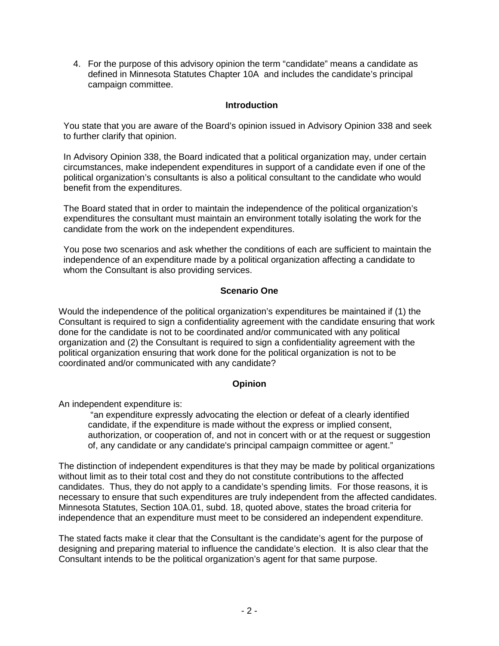4. For the purpose of this advisory opinion the term "candidate" means a candidate as defined in Minnesota Statutes Chapter 10A and includes the candidate's principal campaign committee.

## **Introduction**

You state that you are aware of the Board's opinion issued in Advisory Opinion 338 and seek to further clarify that opinion.

In Advisory Opinion 338, the Board indicated that a political organization may, under certain circumstances, make independent expenditures in support of a candidate even if one of the political organization's consultants is also a political consultant to the candidate who would benefit from the expenditures.

The Board stated that in order to maintain the independence of the political organization's expenditures the consultant must maintain an environment totally isolating the work for the candidate from the work on the independent expenditures.

You pose two scenarios and ask whether the conditions of each are sufficient to maintain the independence of an expenditure made by a political organization affecting a candidate to whom the Consultant is also providing services.

## **Scenario One**

Would the independence of the political organization's expenditures be maintained if (1) the Consultant is required to sign a confidentiality agreement with the candidate ensuring that work done for the candidate is not to be coordinated and/or communicated with any political organization and (2) the Consultant is required to sign a confidentiality agreement with the political organization ensuring that work done for the political organization is not to be coordinated and/or communicated with any candidate?

### **Opinion**

An independent expenditure is:

"an expenditure expressly advocating the election or defeat of a clearly identified candidate, if the expenditure is made without the express or implied consent, authorization, or cooperation of, and not in concert with or at the request or suggestion of, any candidate or any candidate's principal campaign committee or agent."

The distinction of independent expenditures is that they may be made by political organizations without limit as to their total cost and they do not constitute contributions to the affected candidates. Thus, they do not apply to a candidate's spending limits. For those reasons, it is necessary to ensure that such expenditures are truly independent from the affected candidates. Minnesota Statutes, Section 10A.01, subd. 18, quoted above, states the broad criteria for independence that an expenditure must meet to be considered an independent expenditure.

The stated facts make it clear that the Consultant is the candidate's agent for the purpose of designing and preparing material to influence the candidate's election. It is also clear that the Consultant intends to be the political organization's agent for that same purpose.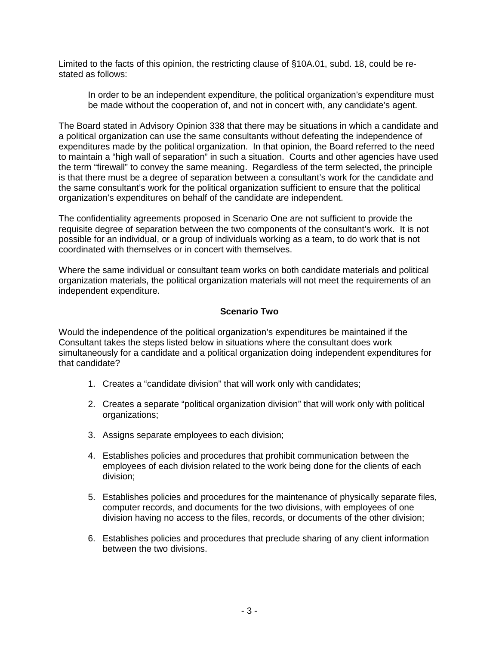Limited to the facts of this opinion, the restricting clause of §10A.01, subd. 18, could be restated as follows:

In order to be an independent expenditure, the political organization's expenditure must be made without the cooperation of, and not in concert with, any candidate's agent.

The Board stated in Advisory Opinion 338 that there may be situations in which a candidate and a political organization can use the same consultants without defeating the independence of expenditures made by the political organization. In that opinion, the Board referred to the need to maintain a "high wall of separation" in such a situation. Courts and other agencies have used the term "firewall" to convey the same meaning. Regardless of the term selected, the principle is that there must be a degree of separation between a consultant's work for the candidate and the same consultant's work for the political organization sufficient to ensure that the political organization's expenditures on behalf of the candidate are independent.

The confidentiality agreements proposed in Scenario One are not sufficient to provide the requisite degree of separation between the two components of the consultant's work. It is not possible for an individual, or a group of individuals working as a team, to do work that is not coordinated with themselves or in concert with themselves.

Where the same individual or consultant team works on both candidate materials and political organization materials, the political organization materials will not meet the requirements of an independent expenditure.

## **Scenario Two**

Would the independence of the political organization's expenditures be maintained if the Consultant takes the steps listed below in situations where the consultant does work simultaneously for a candidate and a political organization doing independent expenditures for that candidate?

- 1. Creates a "candidate division" that will work only with candidates;
- 2. Creates a separate "political organization division" that will work only with political organizations;
- 3. Assigns separate employees to each division;
- 4. Establishes policies and procedures that prohibit communication between the employees of each division related to the work being done for the clients of each division;
- 5. Establishes policies and procedures for the maintenance of physically separate files, computer records, and documents for the two divisions, with employees of one division having no access to the files, records, or documents of the other division;
- 6. Establishes policies and procedures that preclude sharing of any client information between the two divisions.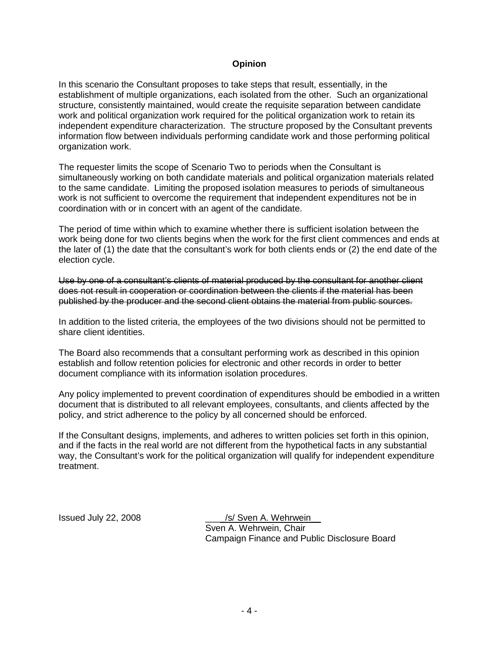#### **Opinion**

In this scenario the Consultant proposes to take steps that result, essentially, in the establishment of multiple organizations, each isolated from the other. Such an organizational structure, consistently maintained, would create the requisite separation between candidate work and political organization work required for the political organization work to retain its independent expenditure characterization. The structure proposed by the Consultant prevents information flow between individuals performing candidate work and those performing political organization work.

The requester limits the scope of Scenario Two to periods when the Consultant is simultaneously working on both candidate materials and political organization materials related to the same candidate. Limiting the proposed isolation measures to periods of simultaneous work is not sufficient to overcome the requirement that independent expenditures not be in coordination with or in concert with an agent of the candidate.

The period of time within which to examine whether there is sufficient isolation between the work being done for two clients begins when the work for the first client commences and ends at the later of (1) the date that the consultant's work for both clients ends or (2) the end date of the election cycle.

Use by one of a consultant's clients of material produced by the consultant for another client does not result in cooperation or coordination between the clients if the material has been published by the producer and the second client obtains the material from public sources.

In addition to the listed criteria, the employees of the two divisions should not be permitted to share client identities.

The Board also recommends that a consultant performing work as described in this opinion establish and follow retention policies for electronic and other records in order to better document compliance with its information isolation procedures.

Any policy implemented to prevent coordination of expenditures should be embodied in a written document that is distributed to all relevant employees, consultants, and clients affected by the policy, and strict adherence to the policy by all concerned should be enforced.

If the Consultant designs, implements, and adheres to written policies set forth in this opinion, and if the facts in the real world are not different from the hypothetical facts in any substantial way, the Consultant's work for the political organization will qualify for independent expenditure treatment.

Issued July 22, 2008 \_\_\_\_/s/ Sven A. Wehrwein\_\_ Sven A. Wehrwein, Chair Campaign Finance and Public Disclosure Board